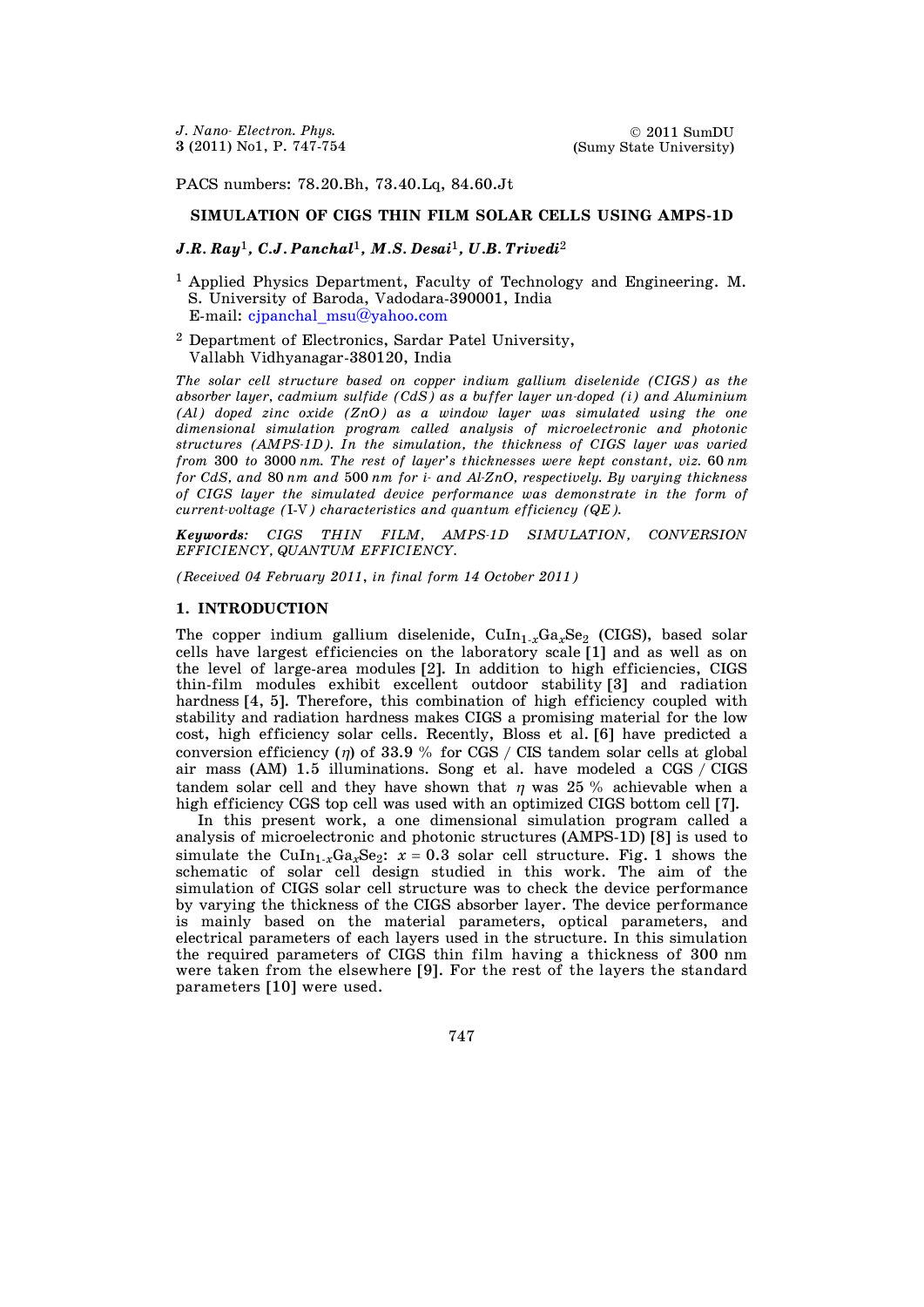PACS numbers: 78.20.Bh, 73.40.Lq, 84.60.Jt

## **SIMULATION OF CIGS THIN FILM SOLAR CELLS USING AMPS-1D**

### *J.R. Ray*1*, C.J. Panchal*1*, M.S. Desai*1*, U.B. Trivedi*<sup>2</sup>

- <sup>1</sup> Applied Physics Department, Faculty of Technology and Engineering. M. S. University of Baroda, Vadodara-390001, India E-mail: [cjpanchal\\_msu@yahoo.com](mailto:cjpanchal_msu@yahoo.com)
- <sup>2</sup> Department of Electronics, Sardar Patel University, Vallabh Vidhyanagar-380120, India

*The solar cell structure based on copper indium gallium diselenide (CIGS) as the absorber layer, cadmium sulfide (CdS) as a buffer layer un-doped (i) and Aluminium (Al) doped zinc oxide (ZnO) as a window layer was simulated using the one dimensional simulation program called analysis of microelectronic and photonic structures (AMPS-1D). In the simulation, the thickness of CIGS layer was varied from* 300 *to* 3000 *nm. The rest of layer's thicknesses were kept constant, viz.* 60 *nm for CdS, and* 80 *nm and* 500 *nm for i- and Al-ZnO, respectively. By varying thickness of CIGS layer the simulated device performance was demonstrate in the form of current-voltage (*I-V*) characteristics and quantum efficiency (QE).* 

*Keywords: CIGS THIN FILM, AMPS-1D SIMULATION, CONVERSION EFFICIENCY, QUANTUM EFFICIENCY.* 

*(Received 04 February 2011*, *in final form 14 October 2011)* 

#### **1. INTRODUCTION**

The copper indium gallium diselenide, CuIn<sub>1-x</sub>Ga<sub>x</sub>Se<sub>2</sub> (CIGS), based solar cells have largest efficiencies on the laboratory scale [1] and as well as on the level of large-area modules [2]. In addition to high efficiencies, CIGS thin-film modules exhibit excellent outdoor stability [3] and radiation hardness [4, 5]. Therefore, this combination of high efficiency coupled with stability and radiation hardness makes CIGS a promising material for the low cost, high efficiency solar cells. Recently, Bloss et al. [6] have predicted a conversion efficiency ( $\eta$ ) of 33.9 % for CGS / CIS tandem solar cells at global air mass (AM) 1.5 illuminations. Song et al. have modeled a CGS / CIGS tandem solar cell and they have shown that  $\eta$  was 25 % achievable when a high efficiency CGS top cell was used with an optimized CIGS bottom cell [7].

 In this present work, a one dimensional simulation program called a analysis of microelectronic and photonic structures (AMPS-1D) [8] is used to simulate the CuIn<sub>1-x</sub>Ga<sub>x</sub>Se<sub>2</sub>:  $x = 0.3$  solar cell structure. Fig. 1 shows the schematic of solar cell design studied in this work. The aim of the simulation of CIGS solar cell structure was to check the device performance by varying the thickness of the CIGS absorber layer. The device performance is mainly based on the material parameters, optical parameters, and electrical parameters of each layers used in the structure. In this simulation the required parameters of CIGS thin film having a thickness of 300 nm were taken from the elsewhere [9]. For the rest of the layers the standard parameters [10] were used.

747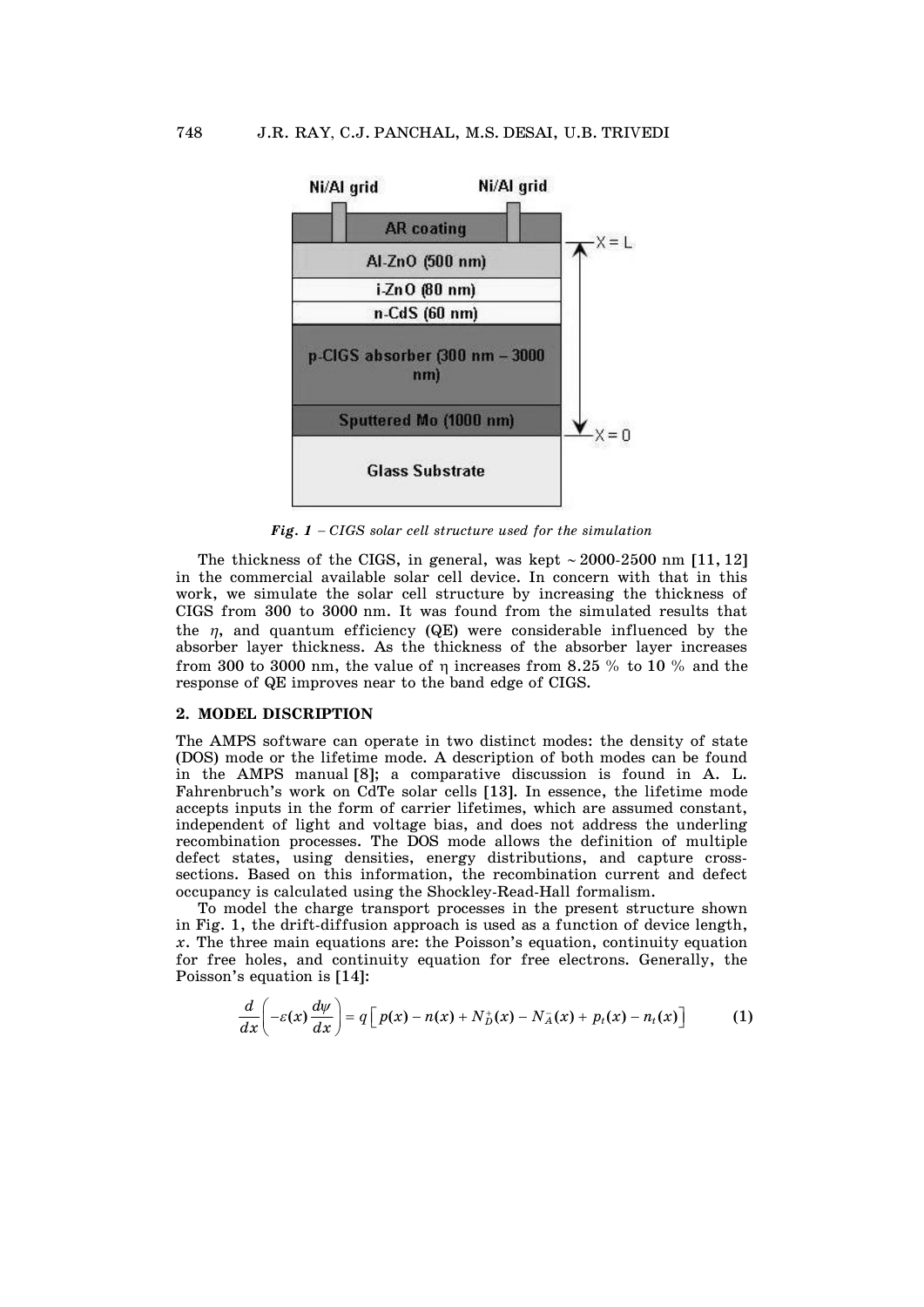

*Fig. 1* - *CIGS solar cell structure used for the simulation* 

The thickness of the CIGS, in general, was kept  $\sim$  2000-2500 nm [11, 12] in the commercial available solar cell device. In concern with that in this work, we simulate the solar cell structure by increasing the thickness of CIGS from 300 to 3000 nm. It was found from the simulated results that the  $\eta$ , and quantum efficiency (QE) were considerable influenced by the absorber layer thickness. As the thickness of the absorber layer increases from 300 to 3000 nm, the value of  $\eta$  increases from 8.25 % to 10 % and the response of QE improves near to the band edge of CIGS.

### **2. MODEL DISCRIPTION**

The AMPS software can operate in two distinct modes: the density of state (DOS) mode or the lifetime mode. A description of both modes can be found in the AMPS manual [8]; a comparative discussion is found in A. L. Fahrenbruch's work on CdTe solar cells [13]. In essence, the lifetime mode accepts inputs in the form of carrier lifetimes, which are assumed constant, independent of light and voltage bias, and does not address the underling recombination processes. The DOS mode allows the definition of multiple defect states, using densities, energy distributions, and capture crosssections. Based on this information, the recombination current and defect occupancy is calculated using the Shockley-Read-Hall formalism.

 To model the charge transport processes in the present structure shown in Fig. 1, the drift-diffusion approach is used as a function of device length, *x*. The three main equations are: the Poisson's equation, continuity equation for free holes, and continuity equation for free electrons. Generally, the Poisson's equation is [14]:

$$
\frac{d}{dx}\bigg(-\varepsilon(x)\frac{d\psi}{dx}\bigg)=q\bigg[p(x)-n(x)+N_D^+(x)-N_A^-(x)+p_t(x)-n_t(x)\bigg]
$$
 (1)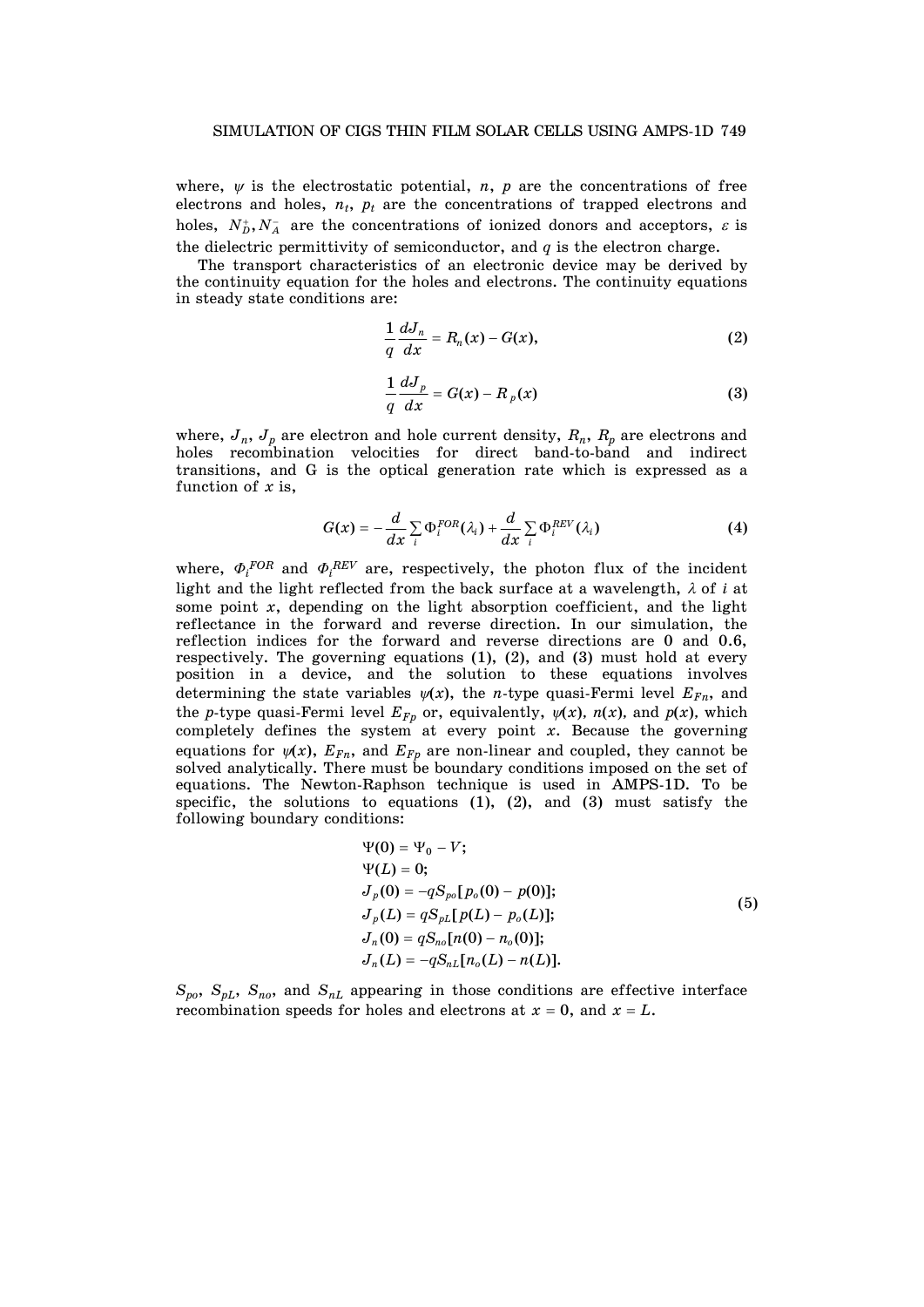where,  $\psi$  is the electrostatic potential, *n*, *p* are the concentrations of free electrons and holes,  $n_t$ ,  $p_t$  are the concentrations of trapped electrons and holes,  $N_b^+, N_A^-$  are the concentrations of ionized donors and acceptors,  $\varepsilon$  is the dielectric permittivity of semiconductor, and  $q$  is the electron charge.

 The transport characteristics of an electronic device may be derived by the continuity equation for the holes and electrons. The continuity equations in steady state conditions are:

$$
\frac{1}{q}\frac{dJ_n}{dx}=R_n(x)-G(x),\qquad \qquad (2)
$$

$$
\frac{1}{q}\frac{dJ_p}{dx} = G(x) - R_p(x) \tag{3}
$$

where,  $J_n$ ,  $J_p$  are electron and hole current density,  $R_n$ ,  $R_p$  are electrons and holes recombination velocities for direct band-to-band and indirect transitions, and G is the optical generation rate which is expressed as a function of *x* is,

$$
G(x) = -\frac{d}{dx} \sum_{i} \Phi_{i}^{FOR}(\lambda_{i}) + \frac{d}{dx} \sum_{i} \Phi_{i}^{REV}(\lambda_{i})
$$
(4)

where,  $\Phi_i^{FOR}$  and  $\Phi_i^{REV}$  are, respectively, the photon flux of the incident light and the light reflected from the back surface at a wavelength,  $\lambda$  of *i* at some point *x*, depending on the light absorption coefficient, and the light reflectance in the forward and reverse direction. In our simulation, the reflection indices for the forward and reverse directions are 0 and 0.6, respectively. The governing equations (1), (2), and (3) must hold at every position in a device, and the solution to these equations involves determining the state variables  $\psi(x)$ , the *n*-type quasi-Fermi level  $E_{Fn}$ , and the *p*-type quasi-Fermi level  $E_{F_p}$  or, equivalently,  $\psi(x)$ ,  $n(x)$ , and  $p(x)$ , which completely defines the system at every point *x*. Because the governing equations for  $\psi(x)$ ,  $E_{Fn}$ , and  $E_{F_p}$  are non-linear and coupled, they cannot be solved analytically. There must be boundary conditions imposed on the set of equations. The Newton-Raphson technique is used in AMPS-1D. To be specific, the solutions to equations  $(1)$ ,  $(2)$ , and  $(3)$  must satisfy the following boundary conditions:

$$
\Psi(0) = \Psi_0 - V;
$$
  
\n
$$
\Psi(L) = 0;
$$
  
\n
$$
J_p(0) = -qS_{po}[p_o(0) - p(0)];
$$
  
\n
$$
J_p(L) = qS_{pL}[p(L) - p_o(L)];
$$
  
\n
$$
J_n(0) = qS_{no}[n(0) - n_o(0)];
$$
  
\n
$$
J_n(L) = -qS_{nL}[n_o(L) - n(L)].
$$
\n(5)

 $S_{po}$ ,  $S_{pL}$ ,  $S_{no}$ , and  $S_{nL}$  appearing in those conditions are effective interface recombination speeds for holes and electrons at  $x = 0$ , and  $x = L$ .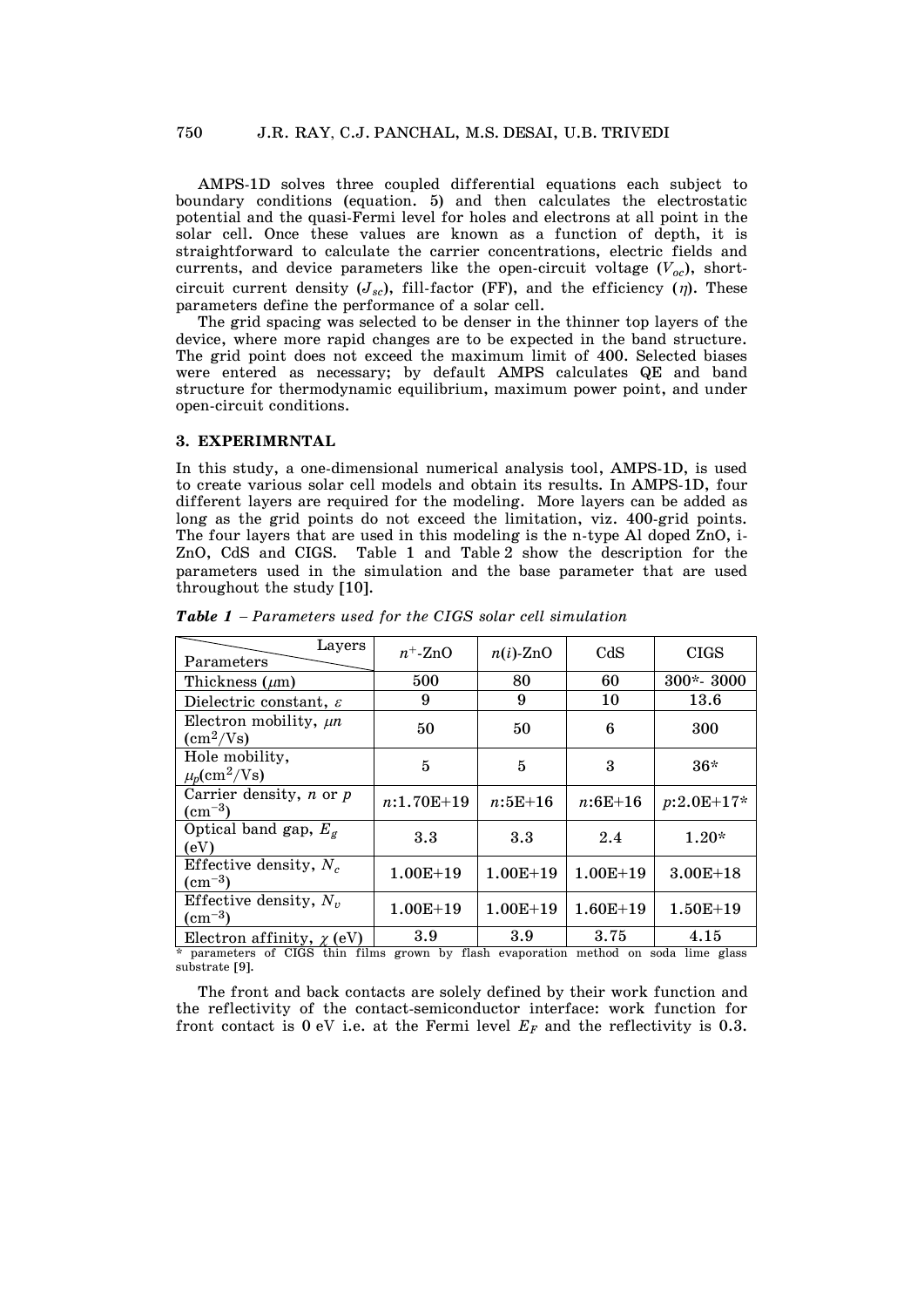AMPS-1D solves three coupled differential equations each subject to boundary conditions (equation. 5) and then calculates the electrostatic potential and the quasi-Fermi level for holes and electrons at all point in the solar cell. Once these values are known as a function of depth, it is straightforward to calculate the carrier concentrations, electric fields and currents, and device parameters like the open-circuit voltage  $(V_{oc})$ , shortcircuit current density  $(J_{sc})$ , fill-factor (FF), and the efficiency  $(\eta)$ . These parameters define the performance of a solar cell.

 The grid spacing was selected to be denser in the thinner top layers of the device, where more rapid changes are to be expected in the band structure. The grid point does not exceed the maximum limit of 400. Selected biases were entered as necessary; by default AMPS calculates QE and band structure for thermodynamic equilibrium, maximum power point, and under open-circuit conditions.

#### **3. EXPERIMRNTAL**

In this study, a one-dimensional numerical analysis tool, AMPS-1D, is used to create various solar cell models and obtain its results. In AMPS-1D, four different layers are required for the modeling. More layers can be added as long as the grid points do not exceed the limitation, viz. 400-grid points. The four layers that are used in this modeling is the n-type Al doped ZnO, i-ZnO, CdS and CIGS. Table 1 and Table 2 show the description for the parameters used in the simulation and the base parameter that are used throughout the study [10].

| Layers<br>Parameters                                     | $n^+$ -ZnO     | $n(i)$ -ZnO  | CdS          | <b>CIGS</b>   |
|----------------------------------------------------------|----------------|--------------|--------------|---------------|
| Thickness $(\mu m)$                                      | 500            | 80           | 60           | $300*$ - 3000 |
| Dielectric constant, $\varepsilon$                       | 9              | 9            | 10           | 13.6          |
| Electron mobility, $\mu n$<br>$\text{ (cm}^2\text{/Vs)}$ | 50             | 50           | 6            | 300           |
| Hole mobility,<br>$\mu_p(\text{cm}^2/\text{Vs})$         | $\overline{5}$ | 5            | 3            | $36*$         |
| Carrier density, $n$ or $p$<br>$\rm (cm^{-3})$           | $n:1.70E+19$   | $n:5E+16$    | $n:6E+16$    | $p:2.0E+17*$  |
| Optical band gap, $E_g$<br>(eV)                          | 3.3            | 3.3          | 2.4          | $1.20*$       |
| Effective density, $N_c$<br>$\rm (cm^{-3})$              | $1.00E + 19$   | $1.00E + 19$ | $1.00E + 19$ | $3.00E + 18$  |
| Effective density, $N_v$<br>$\rm (cm^{-3})$              | $1.00E + 19$   | $1.00E + 19$ | $1.60E + 19$ | $1.50E + 19$  |
| Electron affinity, $\chi$ (eV)                           | 3.9            | 3.9          | 3.75         | 4.15          |

*Table 1* - *Parameters used for the CIGS solar cell simulation* 

\* parameters of CIGS thin films grown by flash evaporation method on soda lime glass substrate [9].

The front and back contacts are solely defined by their work function and the reflectivity of the contact-semiconductor interface: work function for front contact is 0 eV i.e. at the Fermi level  $E_F$  and the reflectivity is 0.3.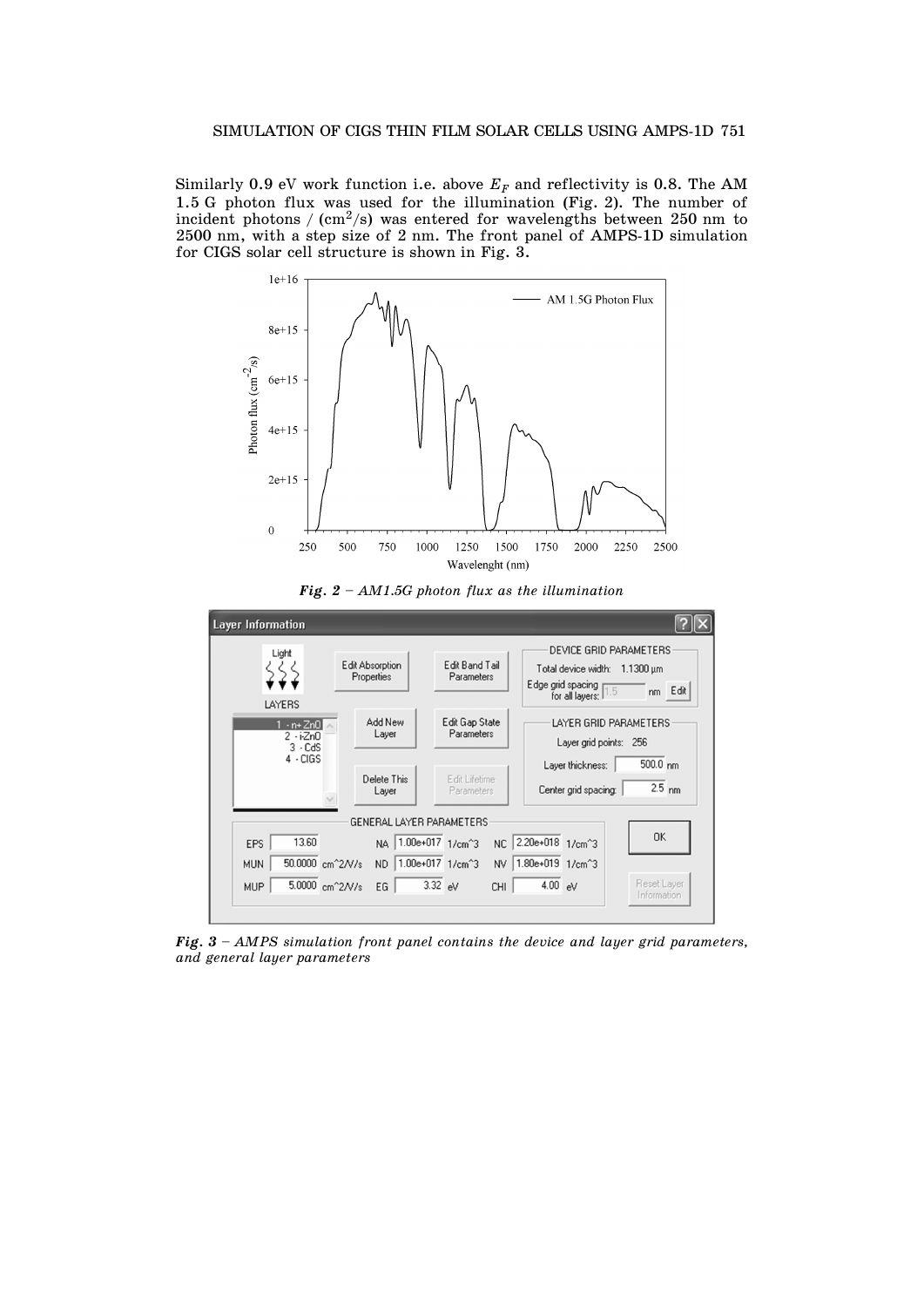Similarly 0.9 eV work function i.e. above  $E_F$  and reflectivity is 0.8. The AM 1.5 G photon flux was used for the illumination (Fig. 2). The number of incident photons /  $\text{cm}^2\text{/s)}$  was entered for wavelengths between 250 nm to 2500 nm, with a step size of 2 nm. The front panel of AMPS-1D simulation for CIGS solar cell structure is shown in Fig. 3.







*Fig. 3 – AMPS simulation front panel contains the device and layer grid parameters, and general layer parameters*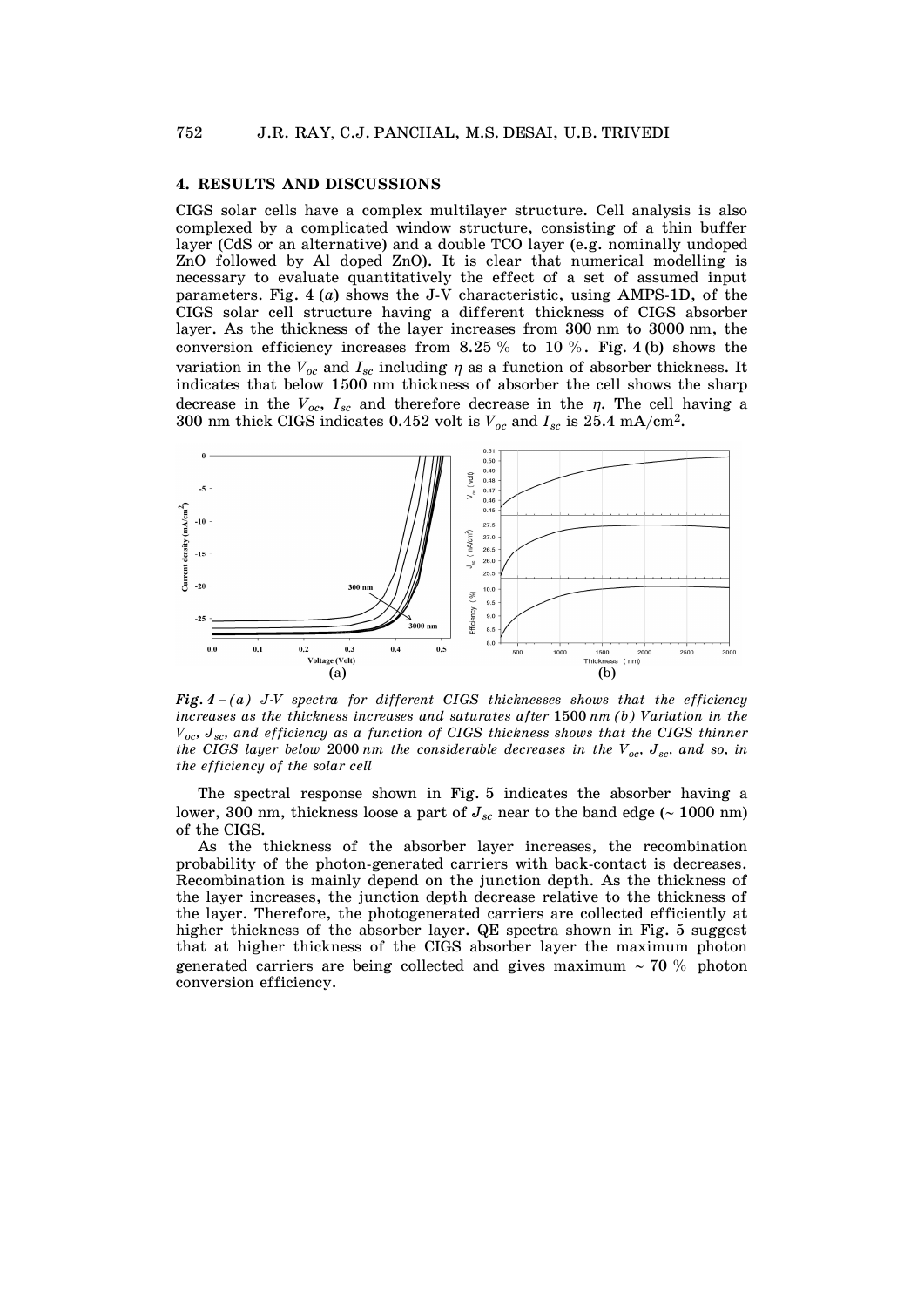### **4. RESULTS AND DISCUSSIONS**

CIGS solar cells have a complex multilayer structure. Cell analysis is also complexed by a complicated window structure, consisting of a thin buffer layer (CdS or an alternative) and a double TCO layer (e.g. nominally undoped ZnO followed by Al doped ZnO). It is clear that numerical modelling is necessary to evaluate quantitatively the effect of a set of assumed input parameters. Fig. 4 (*a*) shows the J-V characteristic, using AMPS-1D, of the CIGS solar cell structure having a different thickness of CIGS absorber layer. As the thickness of the layer increases from 300 nm to 3000 nm, the conversion efficiency increases from 8.25 % to 10 %. Fig. 4 (b) shows the variation in the  $V_{oc}$  and  $I_{sc}$  including  $\eta$  as a function of absorber thickness. It indicates that below 1500 nm thickness of absorber the cell shows the sharp decrease in the  $V_{oc}$ ,  $I_{sc}$  and therefore decrease in the  $\eta$ . The cell having a 300 nm thick CIGS indicates 0.452 volt is  $V_{oc}$  and  $I_{sc}$  is 25.4 mA/cm<sup>2</sup>.



*Fig. 4* - *(a) J-V spectra for different CIGS thicknesses shows that the efficiency increases as the thickness increases and saturates after* 1500 *nm (b) Variation in the Voc, Jsc, and efficiency as a function of CIGS thickness shows that the CIGS thinner the CIGS layer below 2000 nm the considerable decreases in the*  $V_{oc}$ *,*  $J_{sc}$ *, and so, in the efficiency of the solar cell* 

 The spectral response shown in Fig. 5 indicates the absorber having a lower, 300 nm, thickness loose a part of  $J_{sc}$  near to the band edge ( $\sim$  1000 nm) of the CIGS.

 As the thickness of the absorber layer increases, the recombination probability of the photon-generated carriers with back-contact is decreases. Recombination is mainly depend on the junction depth. As the thickness of the layer increases, the junction depth decrease relative to the thickness of the layer. Therefore, the photogenerated carriers are collected efficiently at higher thickness of the absorber layer. QE spectra shown in Fig. 5 suggest that at higher thickness of the CIGS absorber layer the maximum photon generated carriers are being collected and gives maximum  $\sim$  70 % photon conversion efficiency.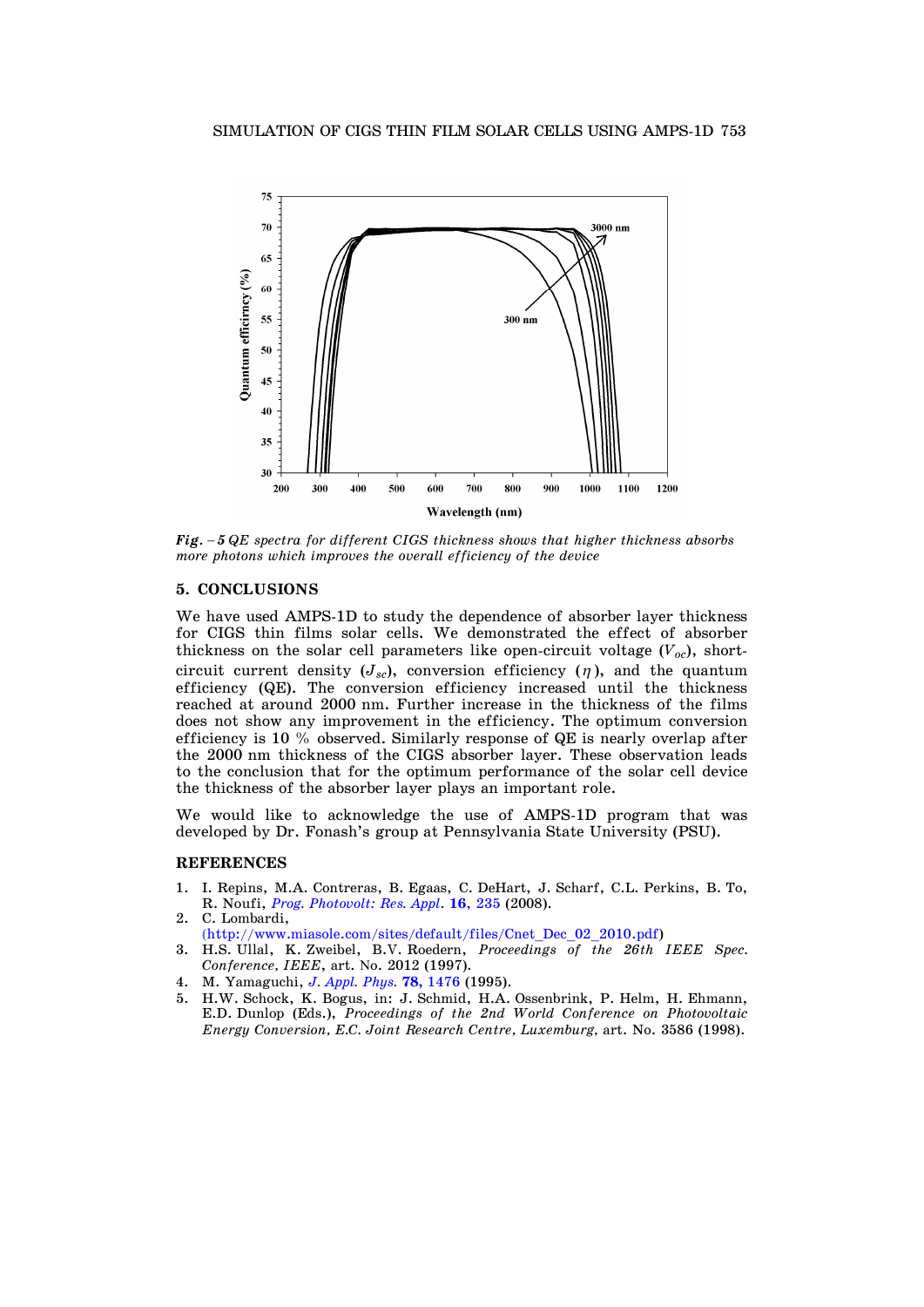

*Fig.* - *5 QE spectra for different CIGS thickness shows that higher thickness absorbs more photons which improves the overall efficiency of the device* 

# **5. CONCLUSIONS**

We have used AMPS-1D to study the dependence of absorber layer thickness for CIGS thin films solar cells. We demonstrated the effect of absorber thickness on the solar cell parameters like open-circuit voltage  $(V_{oc})$ , shortcircuit current density  $(J_{sc})$ , conversion efficiency  $(\eta)$ , and the quantum efficiency (QE). The conversion efficiency increased until the thickness reached at around 2000 nm. Further increase in the thickness of the films does not show any improvement in the efficiency. The optimum conversion efficiency is 10 % observed. Similarly response of QE is nearly overlap after the 2000 nm thickness of the CIGS absorber layer. These observation leads to the conclusion that for the optimum performance of the solar cell device the thickness of the absorber layer plays an important role.

We would like to acknowledge the use of AMPS-1D program that was developed by Dr. Fonash's group at Pennsylvania State University (PSU).

#### **REFERENCES**

- 1. I. Repins, M.A. Contreras, B. Egaas, C. DeHart, J. Scharf, C.L. Perkins, B. To, R. Noufi, *[Prog. Photovolt: Res. Appl](http://dx.doi.org/10.1002/pip.822)*. **16**, 235 (2008). 2. C. Lombardi,
- [\(http://www.miasole.com/sites/default/files/Cnet\\_Dec\\_02\\_2010.pdf\)](http://www.miasole.com/sites/default/files/Cnet_Dec_02_2010.pdf)
- 3. H.S. Ullal, K. Zweibel, B.V. Roedern, *Proceedings of the 26th IEEE Spec. Conference, IEEE*, art. No. 2012 (1997).
- 4. M. Yamaguchi, *[J. Appl. Phys.](http://dx.doi.org/10.1063/1.360236)* **78,** 1476 (1995).
- 5. H.W. Schock, K. Bogus, in: J. Schmid, H.A. Ossenbrink, P. Helm, H. Ehmann, E.D. Dunlop (Eds.), *Proceedings of the 2nd World Conference on Photovoltaic Energy Conversion, E.C. Joint Research Centre, Luxemburg,* art. No. 3586 (1998).